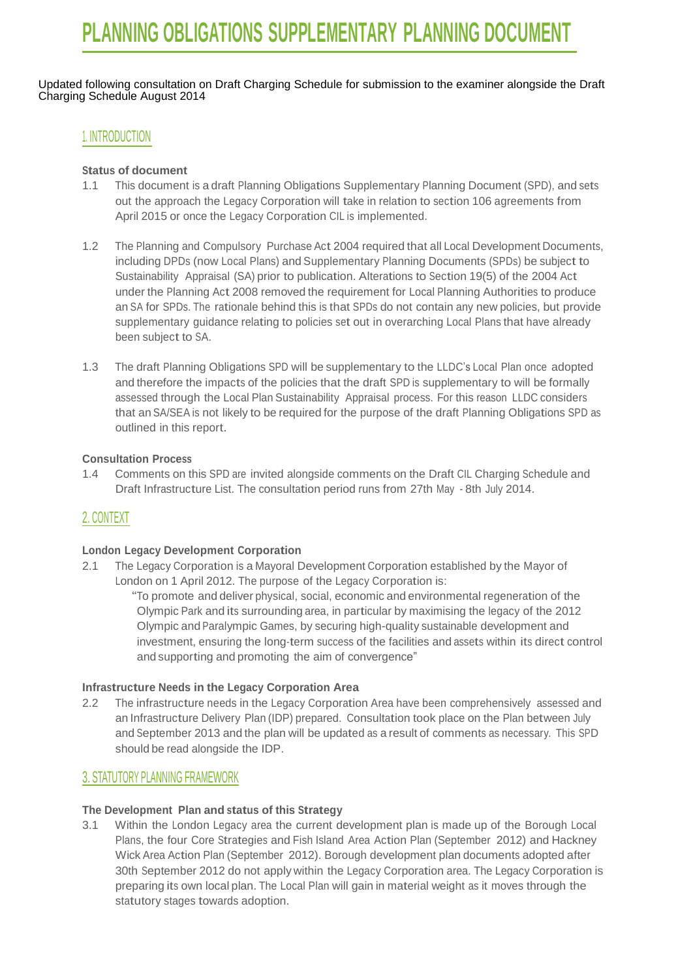Updated following consultation on Draft Charging Schedule for submission to the examiner alongside the Draft Charging Schedule August 2014

## 1. INTRODUCTION

#### **Status of document**

- 1.1 This document is a draft Planning Obligations Supplementary Planning Document (SPD), and sets out the approach the Legacy Corporation will take in relation to section 106 agreements from April 2015 or once the Legacy Corporation CIL is implemented.
- 1.2 The Planning and Compulsory Purchase Act 2004 required that all Local Development Documents, including DPDs (now Local Plans) and Supplementary Planning Documents (SPDs) be subject to Sustainability Appraisal (SA) prior to publication. Alterations to Section 19(5) of the 2004 Act under the Planning Act 2008 removed the requirement for Local Planning Authorities to produce an SA for SPDs. The rationale behind this is that SPDs do not contain any new policies, but provide supplementary guidance relating to policies set out in overarching Local Plans that have already been subject to SA.
- 1.3 The draft Planning Obligations SPD will be supplementary to the LLDC's Local Plan once adopted and therefore the impacts of the policies that the draft SPD is supplementary to will be formally assessed through the Local Plan Sustainability Appraisal process. For this reason LLDC considers that an SA/SEA is not likely to be required for the purpose of the draft Planning Obligations SPD as outlined in this report.

## **Consultation Process**

1.4 Comments on this SPD are invited alongside comments on the Draft CIL Charging Schedule and Draft Infrastructure List. The consultation period runs from 27th May - 8th July 2014.

## 2. CONTEXT

#### **London Legacy Development Corporation**

2.1 The Legacy Corporation is a Mayoral Development Corporation established by the Mayor of London on 1 April 2012. The purpose of the Legacy Corporation is:

"To promote and deliver physical, social, economic and environmental regeneration of the Olympic Park and its surrounding area, in particular by maximising the legacy of the 2012 Olympic and Paralympic Games, by securing high-quality sustainable development and investment, ensuring the long-term success of the facilities and assets within its direct control and supporting and promoting the aim of convergence"

#### **Infrastructure Needs in the Legacy Corporation Area**

2.2 The infrastructure needs in the Legacy Corporation Area have been comprehensively assessed and an Infrastructure Delivery Plan (IDP) prepared. Consultation took place on the Plan between July and September 2013 and the plan will be updated as a result of comments as necessary. This SPD should be read alongside the IDP.

## 3. STATUTORY PLANNING FRAMEWORK

#### **The Development Plan and status of this Strategy**

3.1 Within the London Legacy area the current development plan is made up of the Borough Local Plans, the four Core Strategies and Fish Island Area Action Plan (September 2012) and Hackney Wick Area Action Plan (September 2012). Borough development plan documents adopted after 30th September 2012 do not apply within the Legacy Corporation area. The Legacy Corporation is preparing its own local plan. The Local Plan will gain in material weight as it moves through the statutory stages towards adoption.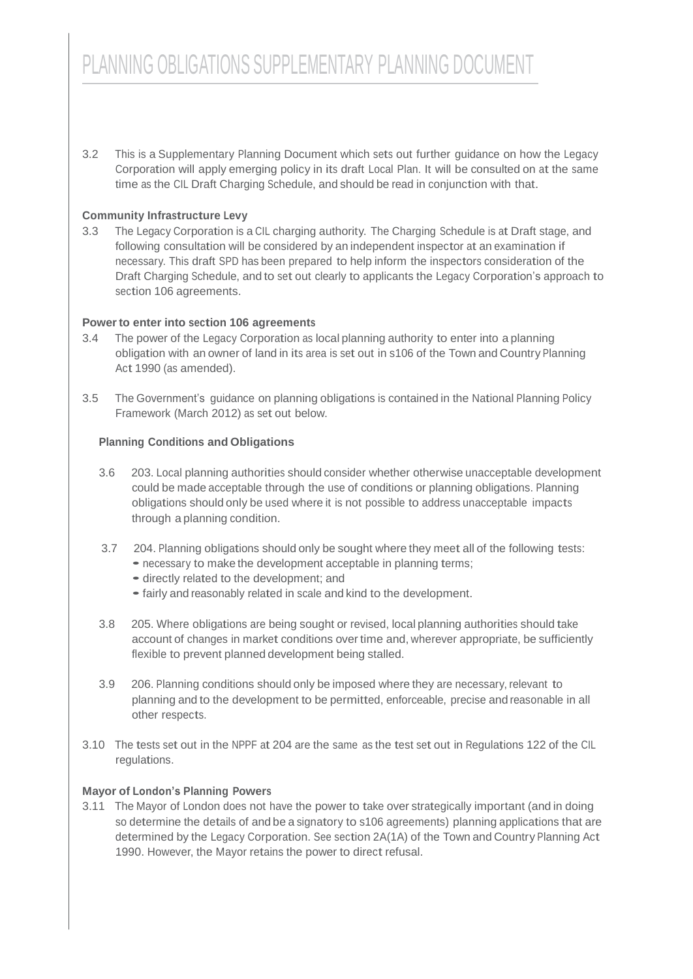3.2 This is a Supplementary Planning Document which sets out further guidance on how the Legacy Corporation will apply emerging policy in its draft Local Plan. It will be consulted on at the same time as the CIL Draft Charging Schedule, and should be read in conjunction with that.

## **Community Infrastructure Levy**

3.3 The Legacy Corporation is a CIL charging authority. The Charging Schedule is at Draft stage, and following consultation will be considered by an independent inspector at an examination if necessary. This draft SPD has been prepared to help inform the inspectors consideration of the Draft Charging Schedule, and to set out clearly to applicants the Legacy Corporation's approach to section 106 agreements.

#### **Powerto enter into section 106 agreements**

- 3.4 The power of the Legacy Corporation as local planning authority to enter into a planning obligation with an owner of land in its area is set out in s106 of the Town and Country Planning Act 1990 (as amended).
- 3.5 The Government's guidance on planning obligations is contained in the National Planning Policy Framework (March 2012) as set out below.

## **Planning Conditions and Obligations**

- 3.6 203. Local planning authorities should consider whether otherwise unacceptable development could be made acceptable through the use of conditions or planning obligations. Planning obligations should only be used where it is not possible to address unacceptable impacts through a planning condition.
- 3.7 204. Planning obligations should only be sought where they meet all of the following tests: • necessary to make the development acceptable in planning terms;
	- directly related to the development; and
	- •fairly and reasonably related in scale and kind to the development.
- 3.8 205. Where obligations are being sought or revised, local planning authorities should take account of changes in market conditions over time and, wherever appropriate, be sufficiently flexible to prevent planned development being stalled.
- 3.9 206. Planning conditions should only be imposed where they are necessary, relevant to planning and to the development to be permitted, enforceable, precise and reasonable in all other respects.
- 3.10 The tests set out in the NPPF at 204 are the same as the test set out in Regulations 122 of the CIL regulations.

## **Mayor of London's Planning Powers**

3.11 The Mayor of London does not have the power to take over strategically important (and in doing so determine the details of and be a signatory to s106 agreements) planning applications that are determined by the Legacy Corporation. See section 2A(1A) of the Town and Country Planning Act 1990. However, the Mayor retains the power to direct refusal.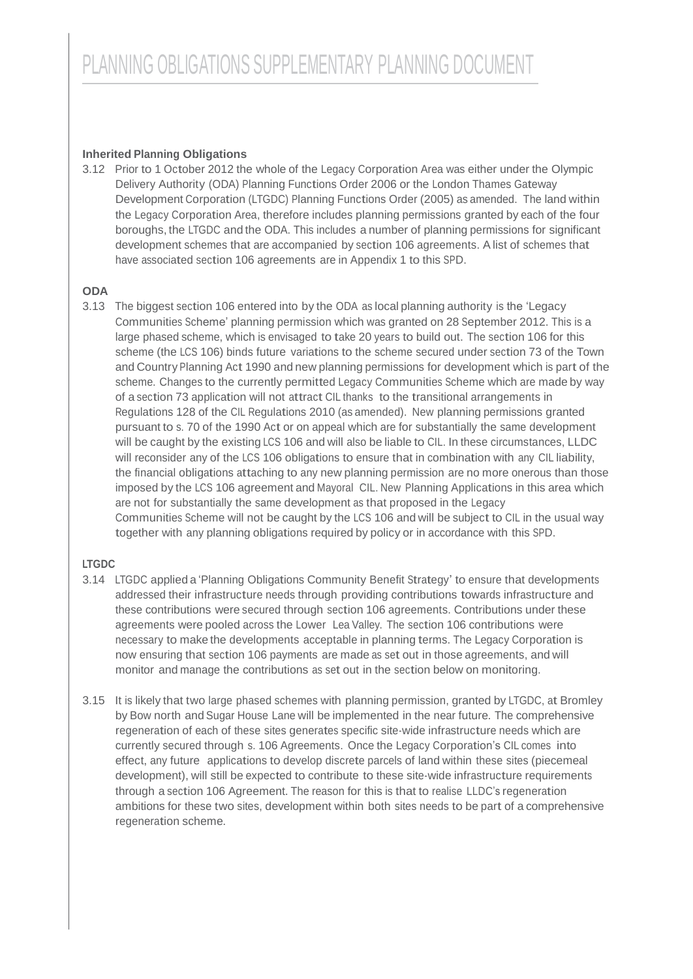## **Inherited Planning Obligations**

3.12 Prior to 1 October 2012 the whole of the Legacy Corporation Area was either under the Olympic Delivery Authority (ODA) Planning Functions Order 2006 or the London Thames Gateway Development Corporation (LTGDC) Planning Functions Order (2005) as amended. The land within the Legacy Corporation Area, therefore includes planning permissions granted by each of the four boroughs, the LTGDC and the ODA. This includes a number of planning permissions for significant development schemes that are accompanied by section 106 agreements. A list of schemes that have associated section 106 agreements are in Appendix 1 to this SPD.

#### **ODA**

3.13 The biggest section 106 entered into by the ODA as local planning authority is the 'Legacy Communities Scheme' planning permission which was granted on 28 September 2012. This is a large phased scheme, which is envisaged to take 20 years to build out. The section 106 for this scheme (the LCS 106) binds future variations to the scheme secured under section 73 of the Town and Country Planning Act 1990 and new planning permissions for development which is part of the scheme. Changes to the currently permitted Legacy Communities Scheme which are made by way of a section 73 application will not attract CIL thanks to the transitional arrangements in Regulations 128 of the CIL Regulations 2010 (as amended). New planning permissions granted pursuant to s. 70 of the 1990 Act or on appeal which are for substantially the same development will be caught by the existing LCS 106 and will also be liable to CIL. In these circumstances, LLDC will reconsider any of the LCS 106 obligations to ensure that in combination with any CIL liability, the financial obligations attaching to any new planning permission are no more onerous than those imposed by the LCS 106 agreement and Mayoral CIL. New Planning Applications in this area which are not for substantially the same development as that proposed in the Legacy Communities Scheme will not be caught by the LCS 106 and will be subject to CIL in the usual way together with any planning obligations required by policy or in accordance with this SPD.

## **LTGDC**

- 3.14 LTGDC applied a 'Planning Obligations Community Benefit Strategy' to ensure that developments addressed their infrastructure needs through providing contributions towards infrastructure and these contributions were secured through section 106 agreements. Contributions under these agreements were pooled across the Lower Lea Valley. The section 106 contributions were necessary to make the developments acceptable in planning terms. The Legacy Corporation is now ensuring that section 106 payments are made as set out in those agreements, and will monitor and manage the contributions as set out in the section below on monitoring.
- 3.15 It is likely that two large phased schemes with planning permission, granted by LTGDC, at Bromley by Bow north and Sugar House Lane will be implemented in the near future. The comprehensive regeneration of each of these sites generates specific site-wide infrastructure needs which are currently secured through s. 106 Agreements. Once the Legacy Corporation's CIL comes into effect, any future applications to develop discrete parcels of land within these sites (piecemeal development), will still be expected to contribute to these site-wide infrastructure requirements through a section 106 Agreement. The reason for this is that to realise LLDC's regeneration ambitions for these two sites, development within both sites needs to be part of a comprehensive regeneration scheme.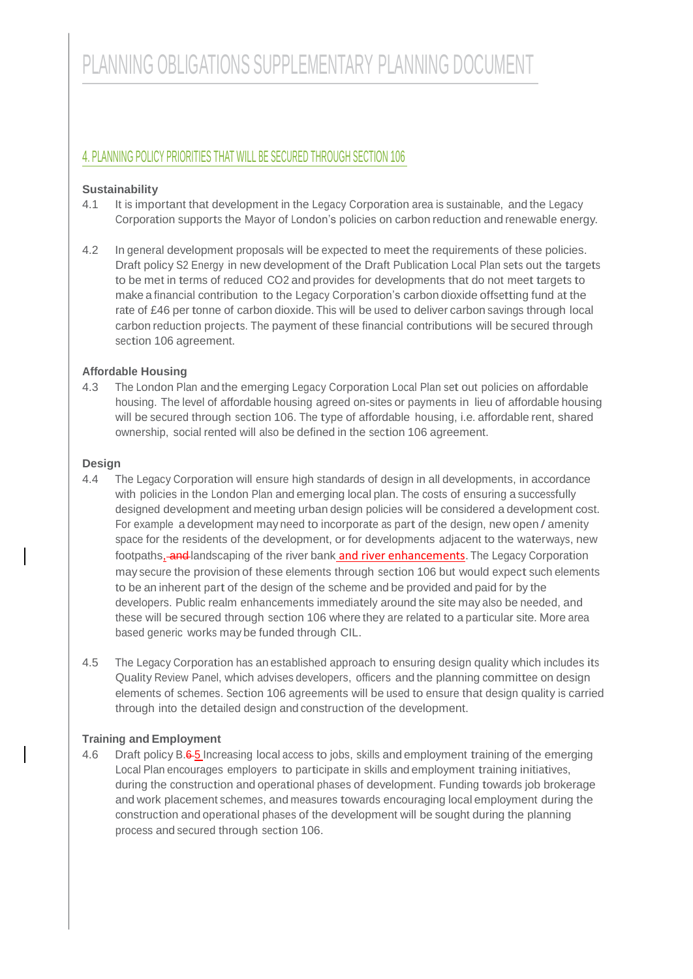# 4. PLANNING POLICY PRIORITIES THAT WILL BE SECURED THROUGH SECTION 106

## **Sustainability**

- 4.1 It is important that development in the Legacy Corporation area is sustainable, and the Legacy Corporation supports the Mayor of London's policies on carbon reduction and renewable energy.
- 4.2 In general development proposals will be expected to meet the requirements of these policies. Draft policy S2 Energy in new development of the Draft Publication Local Plan sets out the targets to be met in terms of reduced CO2 and provides for developments that do not meet targets to make a financial contribution to the Legacy Corporation's carbon dioxide offsetting fund at the rate of £46 per tonne of carbon dioxide. This will be used to deliver carbon savings through local carbon reduction projects. The payment of these financial contributions will be secured through section 106 agreement.

## **Affordable Housing**

4.3 The London Plan and the emerging Legacy Corporation Local Plan set out policies on affordable housing. The level of affordable housing agreed on-sites or payments in lieu of affordable housing will be secured through section 106. The type of affordable housing, i.e. affordable rent, shared ownership, social rented will also be defined in the section 106 agreement.

#### **Design**

- 4.4 The Legacy Corporation will ensure high standards of design in all developments, in accordance with policies in the London Plan and emerging local plan. The costs of ensuring a successfully designed development and meeting urban design policies will be considered a development cost. For example a development may need to incorporate as part of the design, new open / amenity space for the residents of the development, or for developments adjacent to the waterways, new footpaths, and landscaping of the river bank and river enhancements. The Legacy Corporation may secure the provision of these elements through section 106 but would expect such elements to be an inherent part of the design of the scheme and be provided and paid for by the developers. Public realm enhancements immediately around the site may also be needed, and these will be secured through section 106 where they are related to a particular site. More area based generic works may be funded through CIL.
- 4.5 The Legacy Corporation has an established approach to ensuring design quality which includes its Quality Review Panel, which advises developers, officers and the planning committee on design elements of schemes. Section 106 agreements will be used to ensure that design quality is carried through into the detailed design and construction of the development.

#### **Training and Employment**

4.6 Draft policy B.6-5 Increasing local access to jobs, skills and employment training of the emerging Local Plan encourages employers to participate in skills and employment training initiatives, during the construction and operational phases of development. Funding towards job brokerage and work placement schemes, and measures towards encouraging local employment during the construction and operational phases of the development will be sought during the planning process and secured through section 106.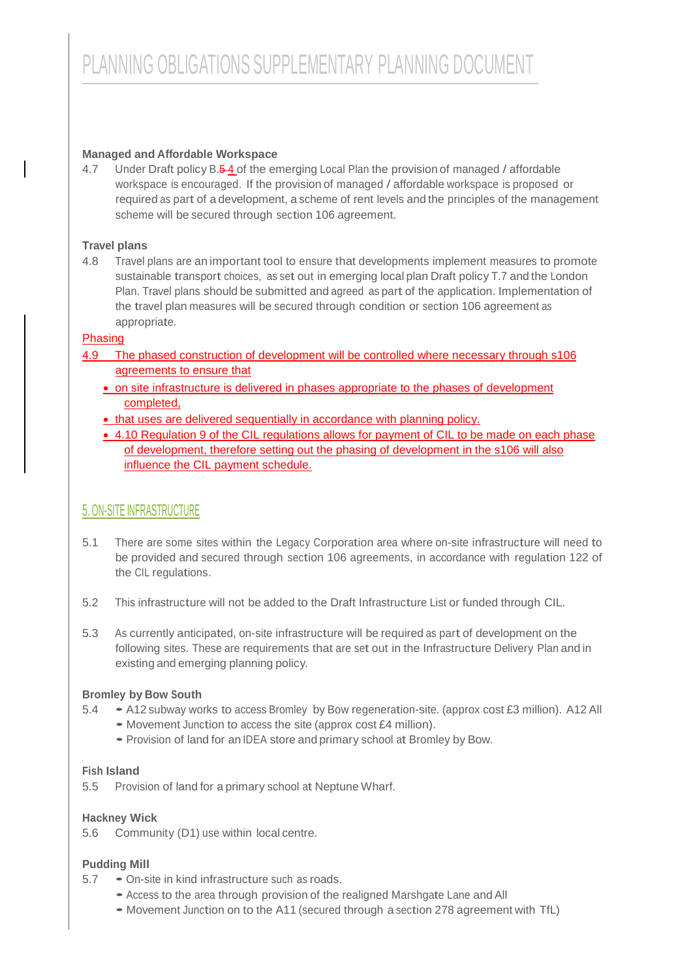## **Managed and Affordable Workspace**

4.7 Under Draft policy B.5-4 of the emerging Local Plan the provision of managed / affordable workspace is encouraged. If the provision of managed / affordable workspace is proposed or required as part of a development, a scheme of rent levels and the principles of the management scheme will be secured through section 106 agreement.

## **Travel plans**

4.8 Travel plans are an important tool to ensure that developments implement measures to promote sustainable transport choices, as set out in emerging local plan Draft policy T.7 and the London Plan. Travel plans should be submitted and agreed as part of the application. Implementation of the travel plan measures will be secured through condition or section 106 agreement as appropriate.

## Phasing

- 4.9 The phased construction of development will be controlled where necessary through s106 agreements to ensure that
	- on site infrastructure is delivered in phases appropriate to the phases of development completed,
	- that uses are delivered sequentially in accordance with planning policy.
	- 4.10 Regulation 9 of the CIL regulations allows for payment of CIL to be made on each phase of development, therefore setting out the phasing of development in the s106 will also influence the CIL payment schedule.

# 5. ON-SITE INFRASTRUCTURE

- 5.1 There are some sites within the Legacy Corporation area where on-site infrastructure will need to be provided and secured through section 106 agreements, in accordance with regulation 122 of the CIL regulations.
- 5.2 This infrastructure will not be added to the Draft Infrastructure List or funded through CIL.
- 5.3 As currently anticipated, on-site infrastructure will be required as part of development on the following sites. These are requirements that are set out in the Infrastructure Delivery Plan and in existing and emerging planning policy.

## **Bromley by Bow South**

- 5.4 A12 subway works to access Bromley by Bow regeneration-site. (approx cost £3 million). A12 All
	- Movement Junction to access the site (approx cost £4 million).
	- Provision of land for an IDEA store and primary school at Bromley by Bow.

#### **Fish Island**

5.5 Provision of land for a primary school at Neptune Wharf.

## **Hackney Wick**

5.6 Community (D1) use within local centre.

## **Pudding Mill**

- 5.7 On-site in kind infrastructure such as roads.
	- Access to the area through provision of the realigned Marshgate Lane and All
	- Movement Junction on to the A11 (secured through <sup>a</sup> section <sup>278</sup> agreement with TfL)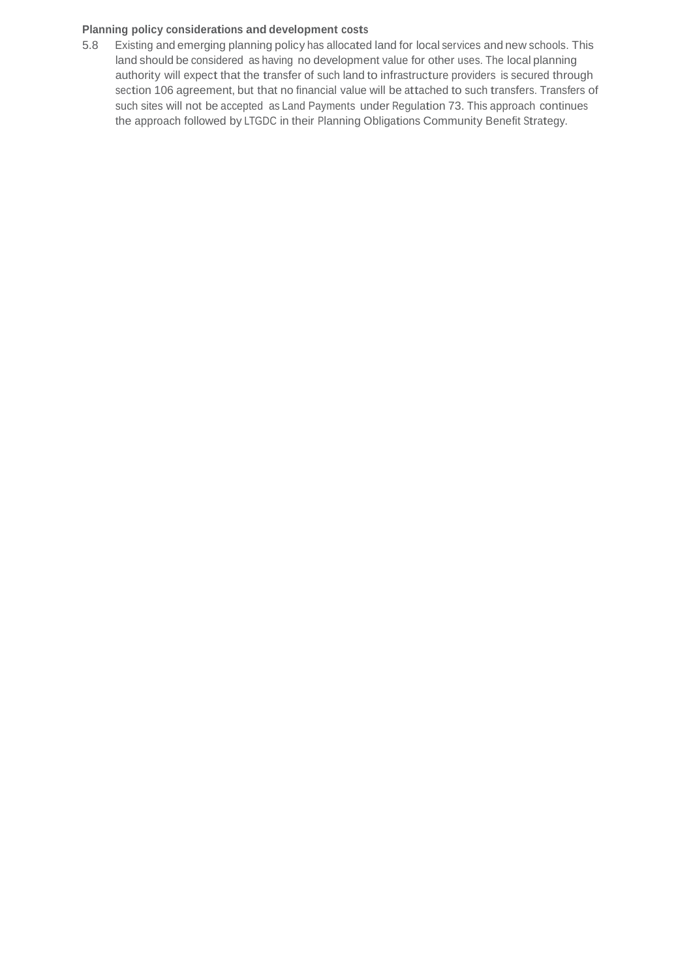#### **Planning policy considerations and development costs**

5.8 Existing and emerging planning policy has allocated land for local services and new schools. This land should be considered as having no development value for other uses. The local planning authority will expect that the transfer of such land to infrastructure providers is secured through section 106 agreement, but that no financial value will be attached to such transfers. Transfers of such sites will not be accepted as Land Payments under Regulation 73. This approach continues the approach followed by LTGDC in their Planning Obligations Community Benefit Strategy.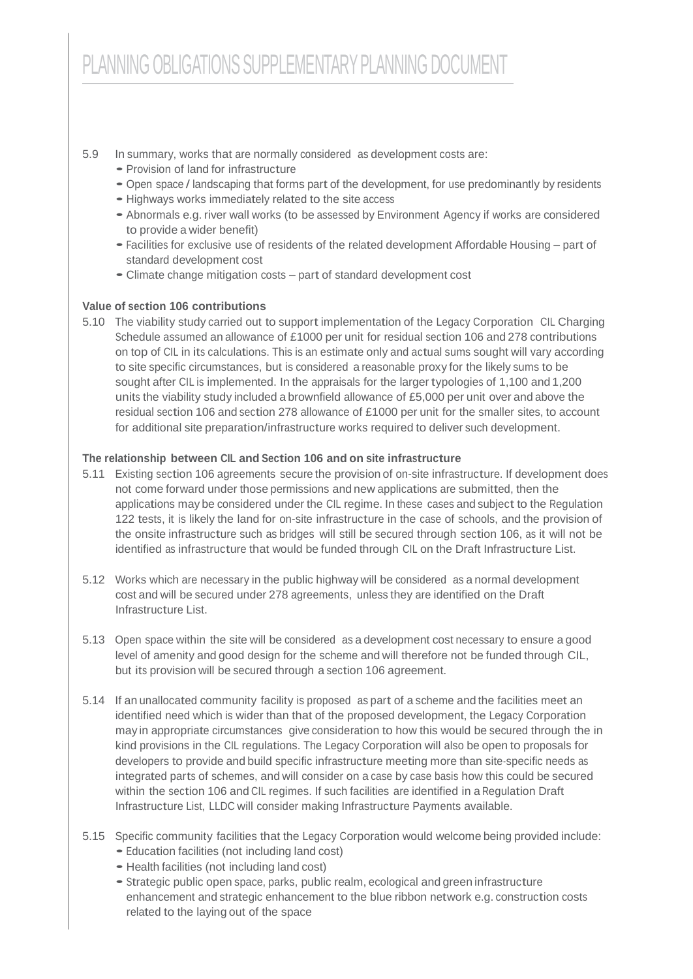## 5.9 In summary, works that are normally considered as development costs are:

- Provision of land for infrastructure
- Open space / landscaping that forms part of the development, for use predominantly by residents
- Highways works immediately related to the site access
- Abnormals e.g. river wall works (to be assessed by Environment Agency if works are considered to provide a wider benefit)
- Facilities for exclusive use of residents of the related development Affordable Housing part of standard development cost
- Climate change mitigation costs part of standard development cost

## **Value of section 106 contributions**

5.10 The viability study carried out to support implementation of the Legacy Corporation CIL Charging Schedule assumed an allowance of £1000 per unit for residual section 106 and 278 contributions on top of CIL in its calculations. This is an estimate only and actual sums sought will vary according to site specific circumstances, but is considered a reasonable proxy for the likely sums to be sought after CIL is implemented. In the appraisals for the larger typologies of 1,100 and 1,200 units the viability study included a brownfield allowance of £5,000 per unit over and above the residual section 106 and section 278 allowance of £1000 per unit for the smaller sites, to account for additional site preparation/infrastructure works required to deliver such development.

## **The relationship between CIL and Section 106 and on site infrastructure**

- 5.11 Existing section 106 agreements secure the provision of on-site infrastructure. If development does not come forward under those permissions and new applications are submitted, then the applications may be considered under the CIL regime. In these cases and subject to the Regulation 122 tests, it is likely the land for on-site infrastructure in the case of schools, and the provision of the onsite infrastructure such as bridges will still be secured through section 106, as it will not be identified as infrastructure that would be funded through CIL on the Draft Infrastructure List.
- 5.12 Works which are necessary in the public highway will be considered as a normal development cost and will be secured under 278 agreements, unless they are identified on the Draft Infrastructure List.
- 5.13 Open space within the site will be considered as a development cost necessary to ensure a good level of amenity and good design for the scheme and will therefore not be funded through CIL, but its provision will be secured through a section 106 agreement.
- 5.14 If an unallocated community facility is proposed as part of a scheme and the facilities meet an identified need which is wider than that of the proposed development, the Legacy Corporation may in appropriate circumstances give consideration to how this would be secured through the in kind provisions in the CIL regulations. The Legacy Corporation will also be open to proposals for developers to provide and build specific infrastructure meeting more than site-specific needs as integrated parts of schemes, and will consider on a case by case basis how this could be secured within the section 106 and CIL regimes. If such facilities are identified in a Regulation Draft Infrastructure List, LLDC will consider making Infrastructure Payments available.
- 5.15 Specific community facilities that the Legacy Corporation would welcome being provided include:
	- Education facilities (not including land cost)
	- Health facilities (not including land cost)
	- Strategic public open space, parks, public realm, ecological and green infrastructure enhancement and strategic enhancement to the blue ribbon network e.g. construction costs related to the laying out of the space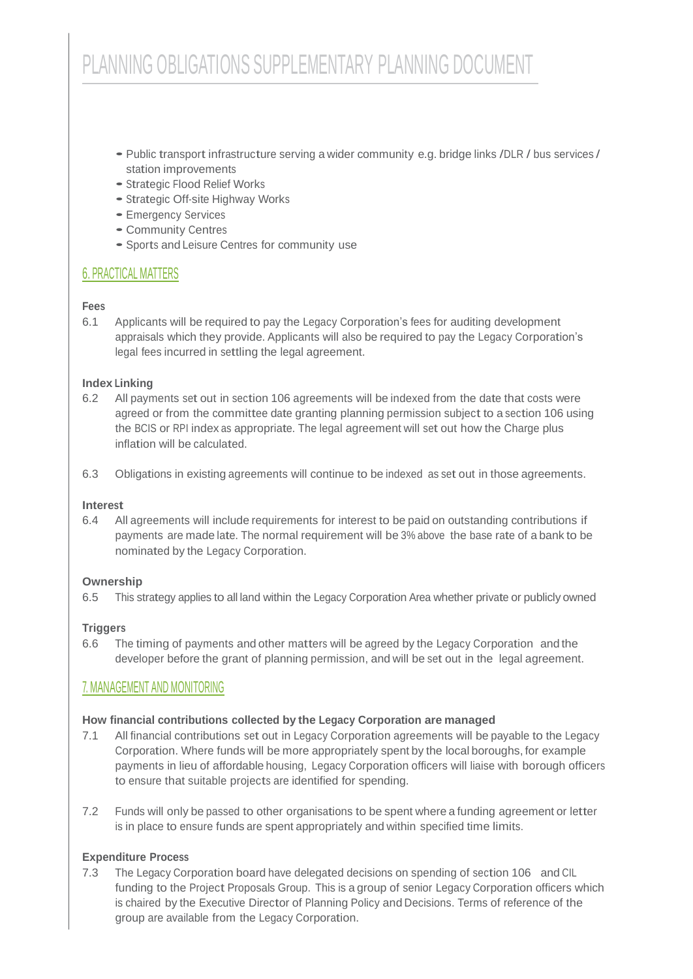- Public transport infrastructure serving a wider community e.g. bridge links /DLR / bus services / station improvements
- Strategic Flood Relief Works
- Strategic Off-site Highway Works
- Emergency Services
- Community Centres
- Sports and Leisure Centres for community use

# 6. PRACTICAL MATTERS

## **Fees**

6.1 Applicants will be required to pay the Legacy Corporation's fees for auditing development appraisals which they provide. Applicants will also be required to pay the Legacy Corporation's legal fees incurred in settling the legal agreement.

## **Index Linking**

- 6.2 All payments set out in section 106 agreements will be indexed from the date that costs were agreed or from the committee date granting planning permission subject to a section 106 using the BCIS or RPI index as appropriate. The legal agreement will set out how the Charge plus inflation will be calculated.
- 6.3 Obligations in existing agreements will continue to be indexed as set out in those agreements.

#### **Interest**

6.4 All agreements will include requirements for interest to be paid on outstanding contributions if payments are made late. The normal requirement will be 3% above the base rate of a bank to be nominated by the Legacy Corporation.

#### **Ownership**

6.5 This strategy applies to all land within the Legacy Corporation Area whether private or publicly owned

## **Triggers**

6.6 The timing of payments and other matters will be agreed by the Legacy Corporation and the developer before the grant of planning permission, and will be set out in the legal agreement.

## 7. MANAGEMENT AND MONITORING

#### **How financial contributions collected by the Legacy Corporation are managed**

- 7.1 All financial contributions set out in Legacy Corporation agreements will be payable to the Legacy Corporation. Where funds will be more appropriately spent by the local boroughs, for example payments in lieu of affordable housing, Legacy Corporation officers will liaise with borough officers to ensure that suitable projects are identified for spending.
- 7.2 Funds will only be passed to other organisations to be spent where a funding agreement or letter is in place to ensure funds are spent appropriately and within specified time limits.

## **Expenditure Process**

7.3 The Legacy Corporation board have delegated decisions on spending of section 106 and CIL funding to the Project Proposals Group. This is a group of senior Legacy Corporation officers which is chaired by the Executive Director of Planning Policy and Decisions. Terms of reference of the group are available from the Legacy Corporation.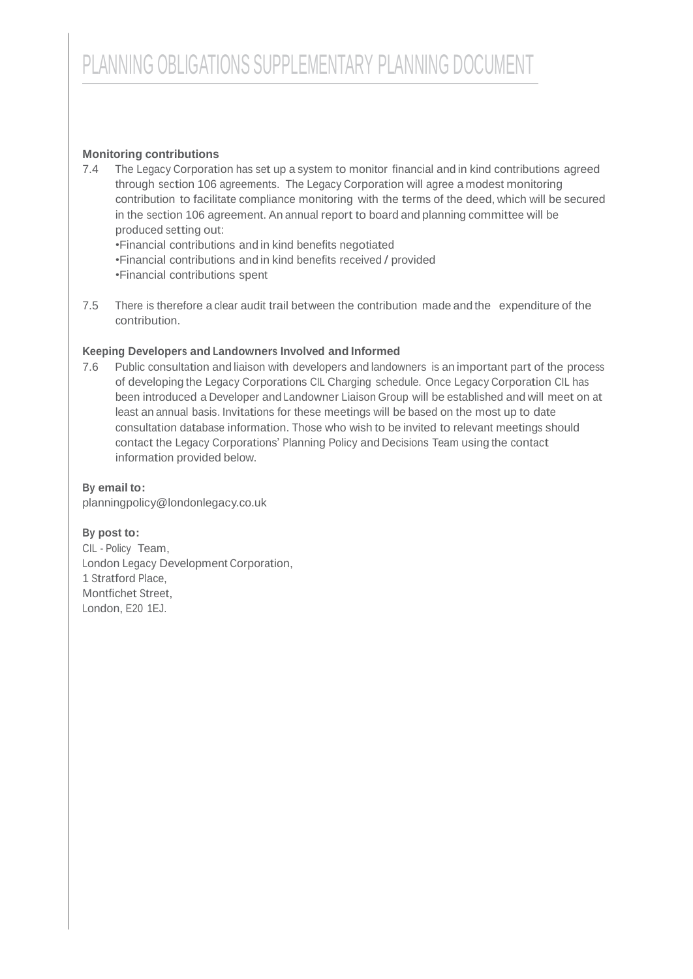## **Monitoring contributions**

7.4 The Legacy Corporation has set up a system to monitor financial and in kind contributions agreed through section 106 agreements. The Legacy Corporation will agree a modest monitoring contribution to facilitate compliance monitoring with the terms of the deed, which will be secured in the section 106 agreement. An annual report to board and planning committee will be produced setting out:

•Financial contributions and in kind benefits negotiated •Financial contributions and in kind benefits received / provided •Financial contributions spent

7.5 There is therefore a clear audit trail between the contribution made and the expenditure of the contribution.

## **Keeping Developers and Landowners Involved and Informed**

7.6 Public consultation and liaison with developers and landowners is an important part of the process of developing the Legacy Corporations CIL Charging schedule. Once Legacy Corporation CIL has been introduced a Developer and Landowner Liaison Group will be established and will meet on at least an annual basis. Invitations for these meetings will be based on the most up to date consultation database information. Those who wish to be invited to relevant meetings should contact the Legacy Corporations' Planning Policy and Decisions Team using the contact information provided below.

#### **By email to:**

[planningpolicy@londonlegacy.co.uk](mailto:planningpolicy@londonlegacy.co.uk)

#### **By post to:**

CIL - Policy Team, London Legacy Development Corporation, 1 Stratford Place, Montfichet Street, London, E20 1EJ.